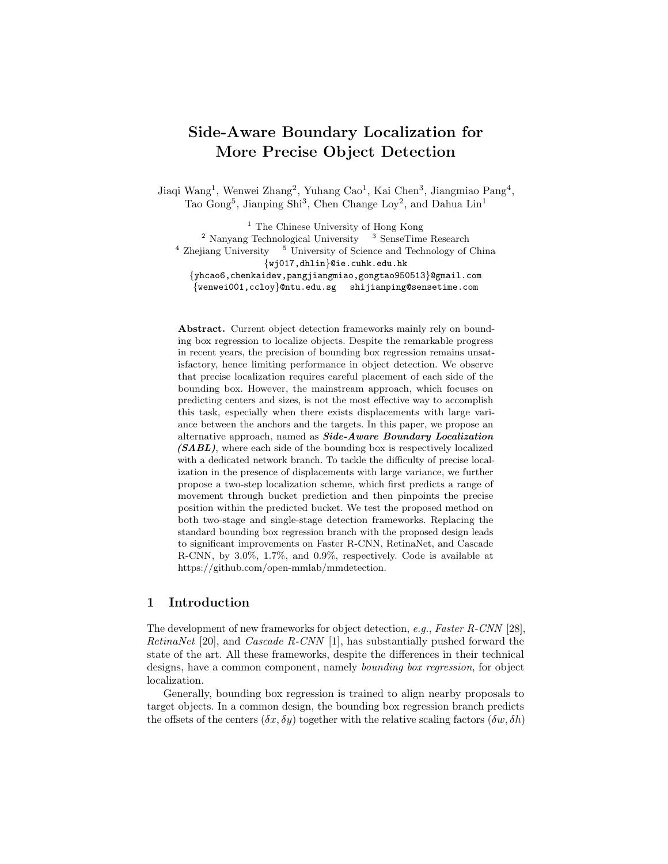# Side-Aware Boundary Localization for More Precise Object Detection

Jiaqi Wang<sup>1</sup>, Wenwei Zhang<sup>2</sup>, Yuhang Cao<sup>1</sup>, Kai Chen<sup>3</sup>, Jiangmiao Pang<sup>4</sup>, Tao Gong<sup>5</sup>, Jianping Shi<sup>3</sup>, Chen Change Loy<sup>2</sup>, and Dahua Lin<sup>1</sup>

<sup>1</sup> The Chinese University of Hong Kong  $2$  Nanyang Technological University  $3$  SenseTime Research  $4$  Zhejiang University  $5$  University of Science and Technology of China {wj017,dhlin}@ie.cuhk.edu.hk {yhcao6,chenkaidev,pangjiangmiao,gongtao950513}@gmail.com {wenwei001,ccloy}@ntu.edu.sg shijianping@sensetime.com

Abstract. Current object detection frameworks mainly rely on bounding box regression to localize objects. Despite the remarkable progress in recent years, the precision of bounding box regression remains unsatisfactory, hence limiting performance in object detection. We observe that precise localization requires careful placement of each side of the bounding box. However, the mainstream approach, which focuses on predicting centers and sizes, is not the most effective way to accomplish this task, especially when there exists displacements with large variance between the anchors and the targets. In this paper, we propose an alternative approach, named as Side-Aware Boundary Localization (SABL), where each side of the bounding box is respectively localized with a dedicated network branch. To tackle the difficulty of precise localization in the presence of displacements with large variance, we further propose a two-step localization scheme, which first predicts a range of movement through bucket prediction and then pinpoints the precise position within the predicted bucket. We test the proposed method on both two-stage and single-stage detection frameworks. Replacing the standard bounding box regression branch with the proposed design leads to significant improvements on Faster R-CNN, RetinaNet, and Cascade R-CNN, by 3.0%, 1.7%, and 0.9%, respectively. Code is available at https://github.com/open-mmlab/mmdetection.

# 1 Introduction

The development of new frameworks for object detection, e.g., Faster R-CNN [28], RetinaNet [20], and *Cascade R-CNN* [1], has substantially pushed forward the state of the art. All these frameworks, despite the differences in their technical designs, have a common component, namely bounding box regression, for object localization.

Generally, bounding box regression is trained to align nearby proposals to target objects. In a common design, the bounding box regression branch predicts the offsets of the centers  $(\delta x, \delta y)$  together with the relative scaling factors  $(\delta w, \delta h)$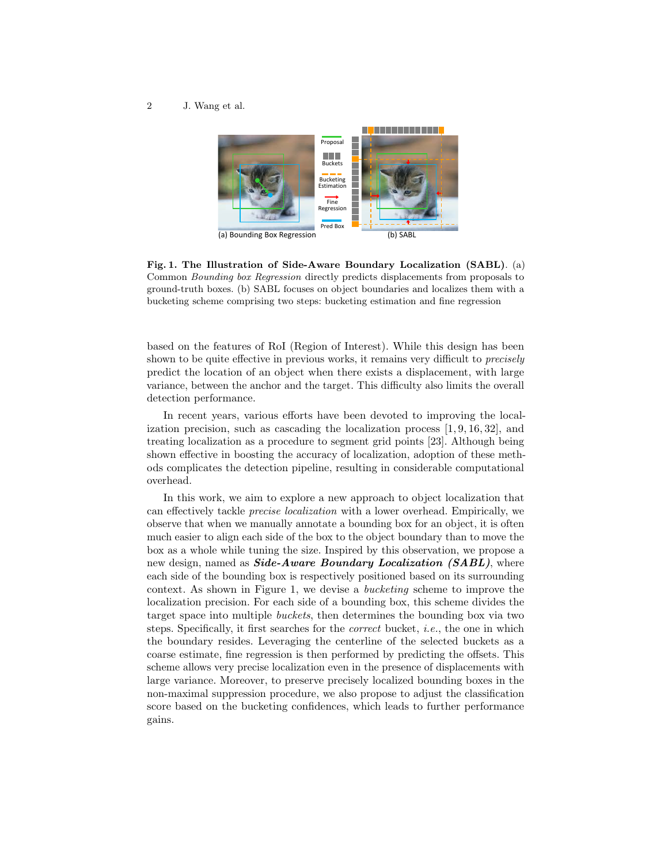

Fig. 1. The Illustration of Side-Aware Boundary Localization (SABL). (a) Common Bounding box Regression directly predicts displacements from proposals to ground-truth boxes. (b) SABL focuses on object boundaries and localizes them with a bucketing scheme comprising two steps: bucketing estimation and fine regression

based on the features of RoI (Region of Interest). While this design has been shown to be quite effective in previous works, it remains very difficult to *precisely* predict the location of an object when there exists a displacement, with large variance, between the anchor and the target. This difficulty also limits the overall detection performance.

In recent years, various efforts have been devoted to improving the localization precision, such as cascading the localization process  $[1, 9, 16, 32]$ , and treating localization as a procedure to segment grid points [23]. Although being shown effective in boosting the accuracy of localization, adoption of these methods complicates the detection pipeline, resulting in considerable computational overhead.

In this work, we aim to explore a new approach to object localization that can effectively tackle precise localization with a lower overhead. Empirically, we observe that when we manually annotate a bounding box for an object, it is often much easier to align each side of the box to the object boundary than to move the box as a whole while tuning the size. Inspired by this observation, we propose a new design, named as **Side-Aware Boundary Localization** (**SABL**), where each side of the bounding box is respectively positioned based on its surrounding context. As shown in Figure 1, we devise a bucketing scheme to improve the localization precision. For each side of a bounding box, this scheme divides the target space into multiple buckets, then determines the bounding box via two steps. Specifically, it first searches for the *correct* bucket, *i.e.*, the one in which the boundary resides. Leveraging the centerline of the selected buckets as a coarse estimate, fine regression is then performed by predicting the offsets. This scheme allows very precise localization even in the presence of displacements with large variance. Moreover, to preserve precisely localized bounding boxes in the non-maximal suppression procedure, we also propose to adjust the classification score based on the bucketing confidences, which leads to further performance gains.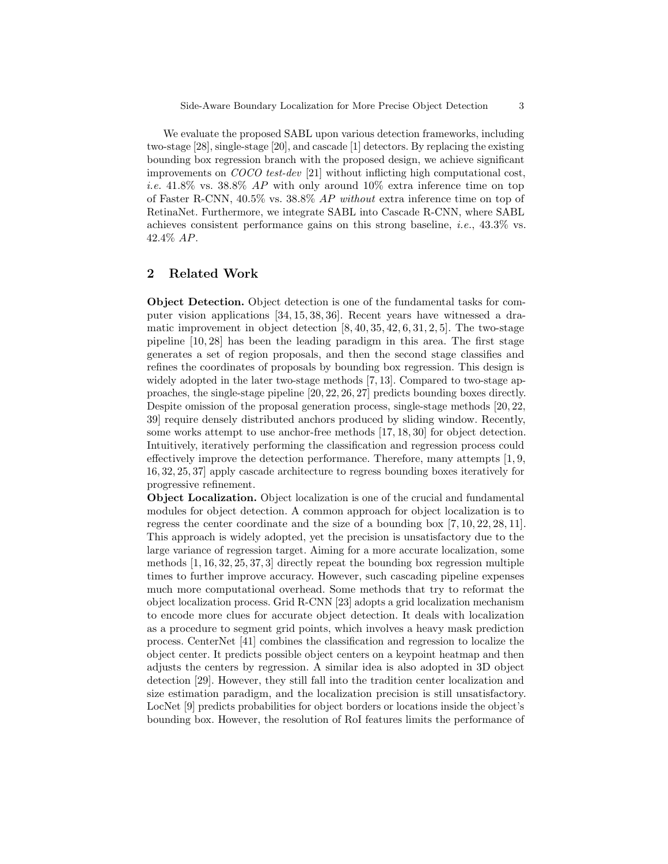We evaluate the proposed SABL upon various detection frameworks, including two-stage [28], single-stage [20], and cascade [1] detectors. By replacing the existing bounding box regression branch with the proposed design, we achieve significant improvements on COCO test-dev [21] without inflicting high computational cost, *i.e.* 41.8% vs. 38.8% AP with only around 10% extra inference time on top of Faster R-CNN, 40.5% vs. 38.8% AP without extra inference time on top of RetinaNet. Furthermore, we integrate SABL into Cascade R-CNN, where SABL achieves consistent performance gains on this strong baseline, i.e., 43.3% vs. 42.4% AP.

# 2 Related Work

Object Detection. Object detection is one of the fundamental tasks for computer vision applications [34, 15, 38, 36]. Recent years have witnessed a dramatic improvement in object detection  $[8, 40, 35, 42, 6, 31, 2, 5]$ . The two-stage pipeline [10, 28] has been the leading paradigm in this area. The first stage generates a set of region proposals, and then the second stage classifies and refines the coordinates of proposals by bounding box regression. This design is widely adopted in the later two-stage methods [7, 13]. Compared to two-stage approaches, the single-stage pipeline [20, 22, 26, 27] predicts bounding boxes directly. Despite omission of the proposal generation process, single-stage methods [20, 22, 39] require densely distributed anchors produced by sliding window. Recently, some works attempt to use anchor-free methods [17, 18, 30] for object detection. Intuitively, iteratively performing the classification and regression process could effectively improve the detection performance. Therefore, many attempts [1, 9, 16, 32, 25, 37] apply cascade architecture to regress bounding boxes iteratively for progressive refinement.

Object Localization. Object localization is one of the crucial and fundamental modules for object detection. A common approach for object localization is to regress the center coordinate and the size of a bounding box [7, 10, 22, 28, 11]. This approach is widely adopted, yet the precision is unsatisfactory due to the large variance of regression target. Aiming for a more accurate localization, some methods [1, 16, 32, 25, 37, 3] directly repeat the bounding box regression multiple times to further improve accuracy. However, such cascading pipeline expenses much more computational overhead. Some methods that try to reformat the object localization process. Grid R-CNN [23] adopts a grid localization mechanism to encode more clues for accurate object detection. It deals with localization as a procedure to segment grid points, which involves a heavy mask prediction process. CenterNet [41] combines the classification and regression to localize the object center. It predicts possible object centers on a keypoint heatmap and then adjusts the centers by regression. A similar idea is also adopted in 3D object detection [29]. However, they still fall into the tradition center localization and size estimation paradigm, and the localization precision is still unsatisfactory. LocNet [9] predicts probabilities for object borders or locations inside the object's bounding box. However, the resolution of RoI features limits the performance of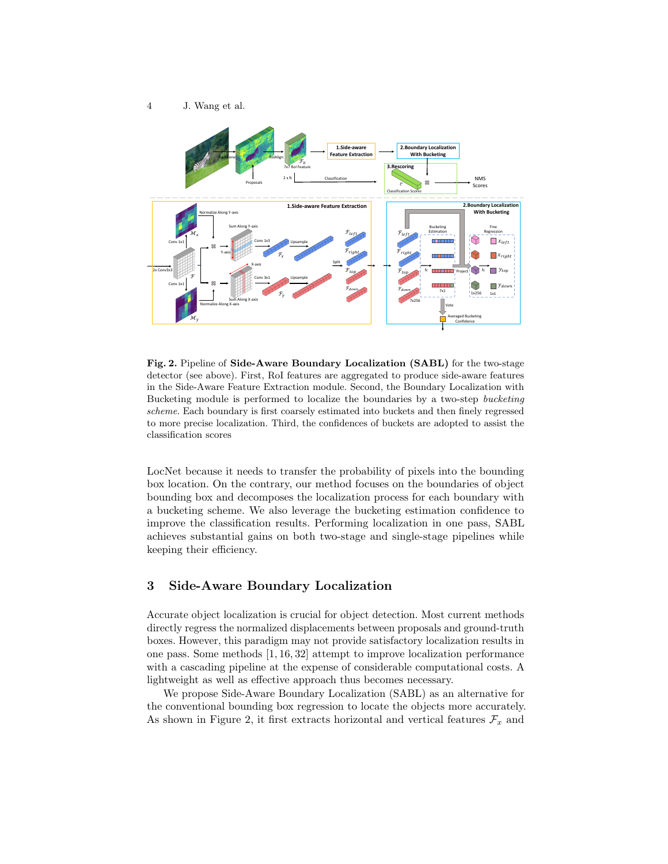

Fig. 2. Pipeline of Side-Aware Boundary Localization (SABL) for the two-stage detector (see above). First, RoI features are aggregated to produce side-aware features in the Side-Aware Feature Extraction module. Second, the Boundary Localization with Bucketing module is performed to localize the boundaries by a two-step bucketing scheme. Each boundary is first coarsely estimated into buckets and then finely regressed to more precise localization. Third, the confidences of buckets are adopted to assist the classification scores

LocNet because it needs to transfer the probability of pixels into the bounding box location. On the contrary, our method focuses on the boundaries of object bounding box and decomposes the localization process for each boundary with a bucketing scheme. We also leverage the bucketing estimation confidence to improve the classification results. Performing localization in one pass, SABL achieves substantial gains on both two-stage and single-stage pipelines while keeping their efficiency.

# 3 Side-Aware Boundary Localization

Accurate object localization is crucial for object detection. Most current methods directly regress the normalized displacements between proposals and ground-truth boxes. However, this paradigm may not provide satisfactory localization results in one pass. Some methods [1, 16, 32] attempt to improve localization performance with a cascading pipeline at the expense of considerable computational costs. A lightweight as well as effective approach thus becomes necessary.

We propose Side-Aware Boundary Localization (SABL) as an alternative for the conventional bounding box regression to locate the objects more accurately. As shown in Figure 2, it first extracts horizontal and vertical features  $\mathcal{F}_x$  and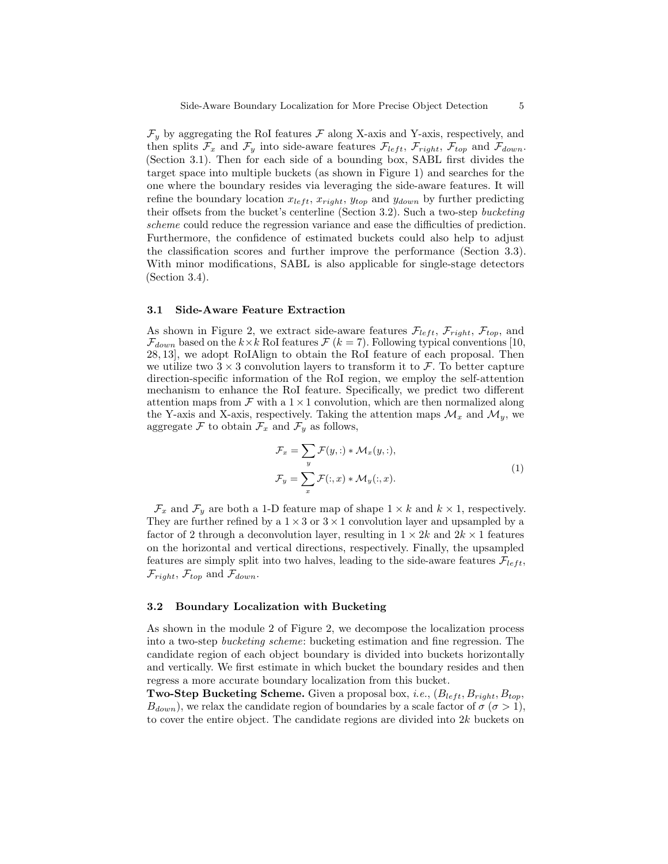$\mathcal{F}_y$  by aggregating the RoI features  $\mathcal F$  along X-axis and Y-axis, respectively, and then splits  $\mathcal{F}_x$  and  $\mathcal{F}_y$  into side-aware features  $\mathcal{F}_{left}$ ,  $\mathcal{F}_{right}$ ,  $\mathcal{F}_{top}$  and  $\mathcal{F}_{down}$ . (Section 3.1). Then for each side of a bounding box, SABL first divides the target space into multiple buckets (as shown in Figure 1) and searches for the one where the boundary resides via leveraging the side-aware features. It will refine the boundary location  $x_{left}$ ,  $x_{right}$ ,  $y_{top}$  and  $y_{down}$  by further predicting their offsets from the bucket's centerline (Section 3.2). Such a two-step bucketing scheme could reduce the regression variance and ease the difficulties of prediction. Furthermore, the confidence of estimated buckets could also help to adjust the classification scores and further improve the performance (Section 3.3). With minor modifications, SABL is also applicable for single-stage detectors (Section 3.4).

#### 3.1 Side-Aware Feature Extraction

As shown in Figure 2, we extract side-aware features  $\mathcal{F}_{left}$ ,  $\mathcal{F}_{right}$ ,  $\mathcal{F}_{top}$ , and  $\mathcal{F}_{down}$  based on the  $k \times k$  RoI features  $\mathcal{F}$  ( $k = 7$ ). Following typical conventions [10, 28, 13], we adopt RoIAlign to obtain the RoI feature of each proposal. Then we utilize two  $3 \times 3$  convolution layers to transform it to  $\mathcal{F}$ . To better capture direction-specific information of the RoI region, we employ the self-attention mechanism to enhance the RoI feature. Specifically, we predict two different attention maps from  $\mathcal F$  with a 1  $\times$  1 convolution, which are then normalized along the Y-axis and X-axis, respectively. Taking the attention maps  $\mathcal{M}_x$  and  $\mathcal{M}_y$ , we aggregate  $\mathcal F$  to obtain  $\mathcal F_x$  and  $\mathcal F_y$  as follows,

$$
\mathcal{F}_x = \sum_y \mathcal{F}(y, :) * \mathcal{M}_x(y, :),
$$
  

$$
\mathcal{F}_y = \sum_x \mathcal{F}(:, x) * \mathcal{M}_y(:, x).
$$
 (1)

 $\mathcal{F}_x$  and  $\mathcal{F}_y$  are both a 1-D feature map of shape  $1 \times k$  and  $k \times 1$ , respectively. They are further refined by a  $1 \times 3$  or  $3 \times 1$  convolution layer and upsampled by a factor of 2 through a deconvolution layer, resulting in  $1 \times 2k$  and  $2k \times 1$  features on the horizontal and vertical directions, respectively. Finally, the upsampled features are simply split into two halves, leading to the side-aware features  $\mathcal{F}_{left}$ ,  $\mathcal{F}_{right}$ ,  $\mathcal{F}_{top}$  and  $\mathcal{F}_{down}$ .

### 3.2 Boundary Localization with Bucketing

As shown in the module 2 of Figure 2, we decompose the localization process into a two-step bucketing scheme: bucketing estimation and fine regression. The candidate region of each object boundary is divided into buckets horizontally and vertically. We first estimate in which bucket the boundary resides and then regress a more accurate boundary localization from this bucket.

Two-Step Bucketing Scheme. Given a proposal box, i.e.,  $(B_{left}, B_{right}, B_{top}, B_{top})$  $B_{down}$ , we relax the candidate region of boundaries by a scale factor of  $\sigma (\sigma > 1)$ , to cover the entire object. The candidate regions are divided into 2k buckets on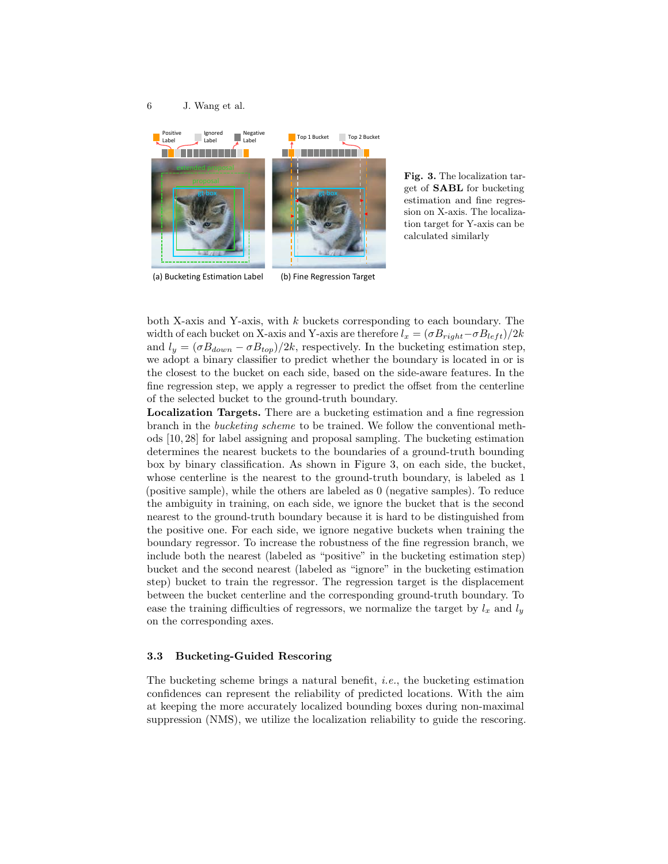

Fig. 3. The localization target of SABL for bucketing estimation and fine regression on X-axis. The localization target for Y-axis can be calculated similarly

(a) Bucketing Estimation Label

(b) Fine Regression Target

both X-axis and Y-axis, with  $k$  buckets corresponding to each boundary. The width of each bucket on X-axis and Y-axis are therefore  $l_x = (\sigma B_{right}-\sigma B_{left})/2k$ and  $l_y = (\sigma B_{down} - \sigma B_{top})/2k$ , respectively. In the bucketing estimation step, we adopt a binary classifier to predict whether the boundary is located in or is the closest to the bucket on each side, based on the side-aware features. In the fine regression step, we apply a regresser to predict the offset from the centerline of the selected bucket to the ground-truth boundary.

Localization Targets. There are a bucketing estimation and a fine regression branch in the bucketing scheme to be trained. We follow the conventional methods [10, 28] for label assigning and proposal sampling. The bucketing estimation determines the nearest buckets to the boundaries of a ground-truth bounding box by binary classification. As shown in Figure 3, on each side, the bucket, whose centerline is the nearest to the ground-truth boundary, is labeled as 1 (positive sample), while the others are labeled as 0 (negative samples). To reduce the ambiguity in training, on each side, we ignore the bucket that is the second nearest to the ground-truth boundary because it is hard to be distinguished from the positive one. For each side, we ignore negative buckets when training the boundary regressor. To increase the robustness of the fine regression branch, we include both the nearest (labeled as "positive" in the bucketing estimation step) bucket and the second nearest (labeled as "ignore" in the bucketing estimation step) bucket to train the regressor. The regression target is the displacement between the bucket centerline and the corresponding ground-truth boundary. To ease the training difficulties of regressors, we normalize the target by  $l_x$  and  $l_y$ on the corresponding axes.

#### 3.3 Bucketing-Guided Rescoring

The bucketing scheme brings a natural benefit, i.e., the bucketing estimation confidences can represent the reliability of predicted locations. With the aim at keeping the more accurately localized bounding boxes during non-maximal suppression (NMS), we utilize the localization reliability to guide the rescoring.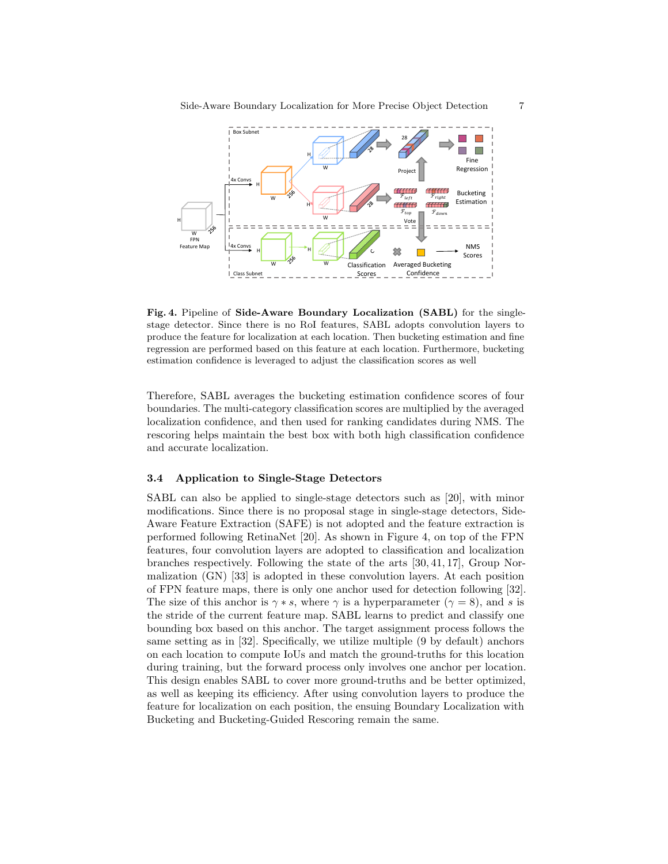

Fig. 4. Pipeline of Side-Aware Boundary Localization (SABL) for the singlestage detector. Since there is no RoI features, SABL adopts convolution layers to produce the feature for localization at each location. Then bucketing estimation and fine regression are performed based on this feature at each location. Furthermore, bucketing estimation confidence is leveraged to adjust the classification scores as well

Therefore, SABL averages the bucketing estimation confidence scores of four boundaries. The multi-category classification scores are multiplied by the averaged localization confidence, and then used for ranking candidates during NMS. The rescoring helps maintain the best box with both high classification confidence and accurate localization.

### 3.4 Application to Single-Stage Detectors

SABL can also be applied to single-stage detectors such as [20], with minor modifications. Since there is no proposal stage in single-stage detectors, Side-Aware Feature Extraction (SAFE) is not adopted and the feature extraction is performed following RetinaNet [20]. As shown in Figure 4, on top of the FPN features, four convolution layers are adopted to classification and localization branches respectively. Following the state of the arts [30, 41, 17], Group Normalization (GN) [33] is adopted in these convolution layers. At each position of FPN feature maps, there is only one anchor used for detection following [32]. The size of this anchor is  $\gamma * s$ , where  $\gamma$  is a hyperparameter ( $\gamma = 8$ ), and s is the stride of the current feature map. SABL learns to predict and classify one bounding box based on this anchor. The target assignment process follows the same setting as in [32]. Specifically, we utilize multiple (9 by default) anchors on each location to compute IoUs and match the ground-truths for this location during training, but the forward process only involves one anchor per location. This design enables SABL to cover more ground-truths and be better optimized, as well as keeping its efficiency. After using convolution layers to produce the feature for localization on each position, the ensuing Boundary Localization with Bucketing and Bucketing-Guided Rescoring remain the same.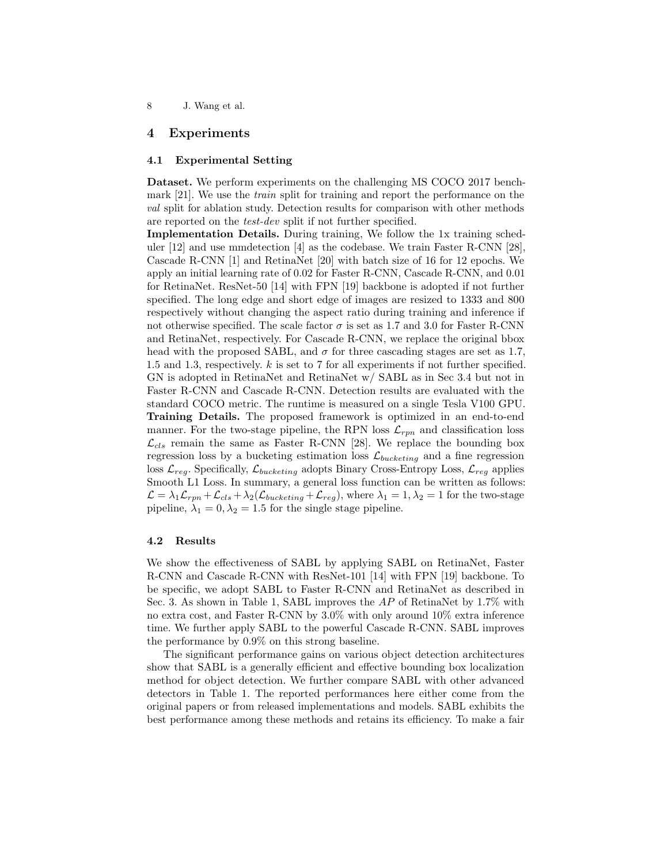# 4 Experiments

# 4.1 Experimental Setting

Dataset. We perform experiments on the challenging MS COCO 2017 benchmark [21]. We use the train split for training and report the performance on the val split for ablation study. Detection results for comparison with other methods are reported on the test-dev split if not further specified.

Implementation Details. During training, We follow the 1x training scheduler [12] and use mmdetection [4] as the codebase. We train Faster R-CNN [28], Cascade R-CNN [1] and RetinaNet [20] with batch size of 16 for 12 epochs. We apply an initial learning rate of 0.02 for Faster R-CNN, Cascade R-CNN, and 0.01 for RetinaNet. ResNet-50 [14] with FPN [19] backbone is adopted if not further specified. The long edge and short edge of images are resized to 1333 and 800 respectively without changing the aspect ratio during training and inference if not otherwise specified. The scale factor  $\sigma$  is set as 1.7 and 3.0 for Faster R-CNN and RetinaNet, respectively. For Cascade R-CNN, we replace the original bbox head with the proposed SABL, and  $\sigma$  for three cascading stages are set as 1.7, 1.5 and 1.3, respectively. k is set to 7 for all experiments if not further specified. GN is adopted in RetinaNet and RetinaNet w/ SABL as in Sec 3.4 but not in Faster R-CNN and Cascade R-CNN. Detection results are evaluated with the standard COCO metric. The runtime is measured on a single Tesla V100 GPU. Training Details. The proposed framework is optimized in an end-to-end manner. For the two-stage pipeline, the RPN loss  $\mathcal{L}_{rpn}$  and classification loss  $\mathcal{L}_{cls}$  remain the same as Faster R-CNN [28]. We replace the bounding box regression loss by a bucketing estimation loss  $\mathcal{L}_{bucketing}$  and a fine regression loss  $\mathcal{L}_{reg}$ . Specifically,  $\mathcal{L}_{bucketing}$  adopts Binary Cross-Entropy Loss,  $\mathcal{L}_{reg}$  applies Smooth L1 Loss. In summary, a general loss function can be written as follows:  $\mathcal{L} = \lambda_1 \mathcal{L}_{rpn} + \mathcal{L}_{cls} + \lambda_2(\mathcal{L}_{buckets} + \mathcal{L}_{reg}),$  where  $\lambda_1 = 1, \lambda_2 = 1$  for the two-stage pipeline,  $\lambda_1 = 0, \lambda_2 = 1.5$  for the single stage pipeline.

### 4.2 Results

We show the effectiveness of SABL by applying SABL on RetinaNet, Faster R-CNN and Cascade R-CNN with ResNet-101 [14] with FPN [19] backbone. To be specific, we adopt SABL to Faster R-CNN and RetinaNet as described in Sec. 3. As shown in Table 1, SABL improves the AP of RetinaNet by 1.7% with no extra cost, and Faster R-CNN by 3.0% with only around 10% extra inference time. We further apply SABL to the powerful Cascade R-CNN. SABL improves the performance by 0.9% on this strong baseline.

The significant performance gains on various object detection architectures show that SABL is a generally efficient and effective bounding box localization method for object detection. We further compare SABL with other advanced detectors in Table 1. The reported performances here either come from the original papers or from released implementations and models. SABL exhibits the best performance among these methods and retains its efficiency. To make a fair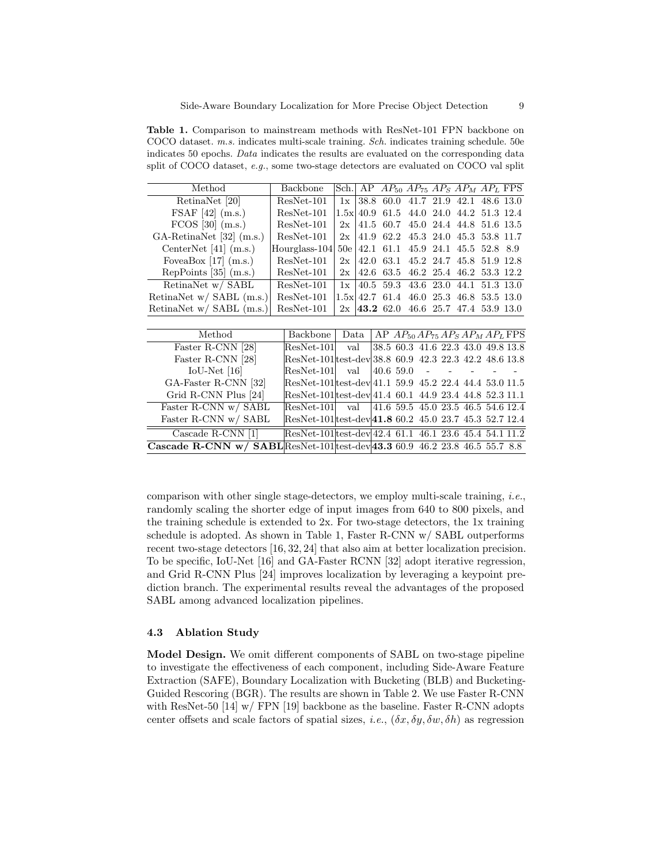Table 1. Comparison to mainstream methods with ResNet-101 FPN backbone on COCO dataset. m.s. indicates multi-scale training. Sch. indicates training schedule. 50e indicates 50 epochs. Data indicates the results are evaluated on the corresponding data split of COCO dataset, e.g., some two-stage detectors are evaluated on COCO val split

| Method                                                                             | <b>Backbone</b>                                        | Sch.        |      | AP $AP_{50}$ $AP_{75}$ $AP_{S}$ $AP_{M}$ $AP_{L}$ FPS |  |                          |           |  |
|------------------------------------------------------------------------------------|--------------------------------------------------------|-------------|------|-------------------------------------------------------|--|--------------------------|-----------|--|
| RetinaNet [20]                                                                     | $ResNet-101$                                           | 1x          |      | 38.8 60.0                                             |  | 41.7 21.9 42.1 48.6 13.0 |           |  |
| FSAF $[42]$ (m.s.)                                                                 | $ResNet-101$                                           | $1.5x$ 40.9 |      | 61.5                                                  |  | 44.0 24.0 44.2 51.3 12.4 |           |  |
| $FCOS$ [30] $(m.s.)$                                                               | $ResNet-101$                                           | 2x          |      | 41.5 60.7                                             |  | 45.0 24.4 44.8 51.6 13.5 |           |  |
| $GA\text{-}RetinaNet [32] (m.s.)$                                                  | $ResNet-101$                                           | 2x          | 41.9 | 62.2                                                  |  | 45.3 24.0 45.3 53.8 11.7 |           |  |
| CenterNet $[41]$ (m.s.)                                                            | Hourglass-104                                          | 50e         | 42.1 | 61.1                                                  |  | 45.9 24.1 45.5 52.8 8.9  |           |  |
| FoveaBox $[17]$ (m.s.)                                                             | $ResNet-101$                                           | 2x          | 42.0 | 63.1                                                  |  | 45.2 24.7 45.8 51.9 12.8 |           |  |
| RepPoints $[35]$ (m.s.)                                                            | $ResNet-101$                                           | 2x          | 42.6 | 63.5                                                  |  | 46.2 25.4 46.2 53.3 12.2 |           |  |
| RetinaNet w/ SABL                                                                  | $ResNet-101$                                           | 1x          |      | 40.5 59.3                                             |  | 43.6 23.0 44.1           | 51.3 13.0 |  |
| RetinaNet w/ SABL (m.s.)                                                           | $ResNet-101$                                           |             |      | $1.5x$ 42.7 61.4                                      |  | 46.0 25.3 46.8 53.5 13.0 |           |  |
| RetinaNet w/ SABL (m.s.)                                                           | ResNet-101                                             |             |      | $2x \mid 43.262.046.625.747.453.913.0$                |  |                          |           |  |
|                                                                                    |                                                        |             |      |                                                       |  |                          |           |  |
| Method                                                                             | Backbone                                               | Data        |      | AP $AP_{50}AP_{75}AP_SAP_MAP_L$ FPS                   |  |                          |           |  |
| Faster R-CNN [28]                                                                  | ResNet-101                                             | val         |      | 38.5 60.3 41.6 22.3 43.0 49.8 13.8                    |  |                          |           |  |
| Faster R-CNN [28]                                                                  | ResNet-101 test-dev 38.8 60.9 42.3 22.3 42.2 48.6 13.8 |             |      |                                                       |  |                          |           |  |
| $IoU-Net$ [16]                                                                     | ResNet-101                                             | val         |      | 40.6 59.0                                             |  |                          |           |  |
| GA-Faster R-CNN [32]                                                               | ResNet-101 test-dev 41.1 59.9 45.2 22.4 44.4 53.0 11.5 |             |      |                                                       |  |                          |           |  |
| Grid R-CNN Plus [24]                                                               | ResNet-101 test-dev 41.4 60.1 44.9 23.4 44.8 52.3 11.1 |             |      |                                                       |  |                          |           |  |
| Faster R-CNN w/ SABL                                                               | ResNet-101                                             |             | val  | 41.6 59.5 45.0 23.5 46.5 54.6 12.4                    |  |                          |           |  |
| Faster R-CNN w/ SABL                                                               | ResNet-101 test-dev 41.8 60.2 45.0 23.7 45.3 52.7 12.4 |             |      |                                                       |  |                          |           |  |
| Cascade R-CNN [1]                                                                  | ResNet-101 test-dev 42.4 61.1 46.1 23.6 45.4 54.1 11.2 |             |      |                                                       |  |                          |           |  |
| <b>Cascade R-CNN w/ SABL</b> ResNet-101 test-dev 43.3 60.9 46.2 23.8 46.5 55.7 8.8 |                                                        |             |      |                                                       |  |                          |           |  |

comparison with other single stage-detectors, we employ multi-scale training, i.e., randomly scaling the shorter edge of input images from 640 to 800 pixels, and the training schedule is extended to 2x. For two-stage detectors, the 1x training schedule is adopted. As shown in Table 1, Faster R-CNN w/ SABL outperforms recent two-stage detectors [16, 32, 24] that also aim at better localization precision. To be specific, IoU-Net [16] and GA-Faster RCNN [32] adopt iterative regression, and Grid R-CNN Plus [24] improves localization by leveraging a keypoint prediction branch. The experimental results reveal the advantages of the proposed SABL among advanced localization pipelines.

### 4.3 Ablation Study

Model Design. We omit different components of SABL on two-stage pipeline to investigate the effectiveness of each component, including Side-Aware Feature Extraction (SAFE), Boundary Localization with Bucketing (BLB) and Bucketing-Guided Rescoring (BGR). The results are shown in Table 2. We use Faster R-CNN with ResNet-50 [14] w/ FPN [19] backbone as the baseline. Faster R-CNN adopts center offsets and scale factors of spatial sizes, i.e.,  $(\delta x, \delta y, \delta w, \delta h)$  as regression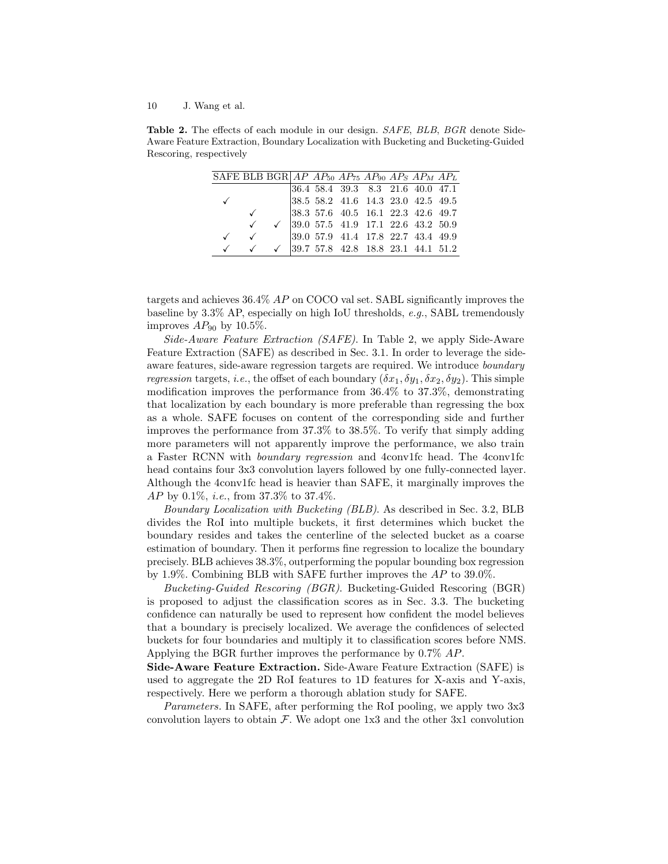Table 2. The effects of each module in our design. SAFE, BLB, BGR denote Side-Aware Feature Extraction, Boundary Localization with Bucketing and Bucketing-Guided Rescoring, respectively

| SAFE BLB BGR $AP$ $AP$ <sub>50</sub> $AP$ <sub>75</sub> $AP$ <sub>90</sub> $AP$ <sub>S</sub> $AP$ <sub>M</sub> $AP$ <sub>L</sub> |              |                                                               |  |                                                                                                                                     |  |  |
|----------------------------------------------------------------------------------------------------------------------------------|--------------|---------------------------------------------------------------|--|-------------------------------------------------------------------------------------------------------------------------------------|--|--|
|                                                                                                                                  |              |                                                               |  |                                                                                                                                     |  |  |
|                                                                                                                                  |              |                                                               |  | $\begin{array}{cccccc} 36.4 & 58.4 & 39.3 & 8.3 & 21.6 & 40.0 & 47.1 \\ 38.5 & 58.2 & 41.6 & 14.3 & 23.0 & 42.5 & 49.5 \end{array}$ |  |  |
|                                                                                                                                  |              |                                                               |  | $38.3\ \ 57.6\ \ 40.5\ \ 16.1\ \ 22.3\ \ 42.6\ \ 49.7$                                                                              |  |  |
|                                                                                                                                  |              |                                                               |  | $\checkmark$ 39.0 57.5 41.9 17.1 22.6 43.2 50.9                                                                                     |  |  |
|                                                                                                                                  | $\checkmark$ |                                                               |  | $\begin{array}{cccccc} 39.0 & 57.9 & 41.4 & 17.8 & 22.7 & 43.4 & 49.9 \end{array}$                                                  |  |  |
|                                                                                                                                  |              | $\checkmark$ $\checkmark$  39.7 57.8 42.8 18.8 23.1 44.1 51.2 |  |                                                                                                                                     |  |  |

targets and achieves 36.4% AP on COCO val set. SABL significantly improves the baseline by 3.3% AP, especially on high IoU thresholds, e.g., SABL tremendously improves  $AP_{90}$  by 10.5%.

Side-Aware Feature Extraction (SAFE). In Table 2, we apply Side-Aware Feature Extraction (SAFE) as described in Sec. 3.1. In order to leverage the sideaware features, side-aware regression targets are required. We introduce boundary *regression* targets, *i.e.*, the offset of each boundary  $(\delta x_1, \delta y_1, \delta x_2, \delta y_2)$ . This simple modification improves the performance from 36.4% to 37.3%, demonstrating that localization by each boundary is more preferable than regressing the box as a whole. SAFE focuses on content of the corresponding side and further improves the performance from 37.3% to 38.5%. To verify that simply adding more parameters will not apparently improve the performance, we also train a Faster RCNN with boundary regression and 4conv1fc head. The 4conv1fc head contains four 3x3 convolution layers followed by one fully-connected layer. Although the 4conv1fc head is heavier than SAFE, it marginally improves the AP by 0.1%, i.e., from 37.3% to 37.4%.

Boundary Localization with Bucketing (BLB). As described in Sec. 3.2, BLB divides the RoI into multiple buckets, it first determines which bucket the boundary resides and takes the centerline of the selected bucket as a coarse estimation of boundary. Then it performs fine regression to localize the boundary precisely. BLB achieves 38.3%, outperforming the popular bounding box regression by 1.9%. Combining BLB with SAFE further improves the AP to 39.0%.

Bucketing-Guided Rescoring (BGR). Bucketing-Guided Rescoring (BGR) is proposed to adjust the classification scores as in Sec. 3.3. The bucketing confidence can naturally be used to represent how confident the model believes that a boundary is precisely localized. We average the confidences of selected buckets for four boundaries and multiply it to classification scores before NMS. Applying the BGR further improves the performance by 0.7% AP.

Side-Aware Feature Extraction. Side-Aware Feature Extraction (SAFE) is used to aggregate the 2D RoI features to 1D features for X-axis and Y-axis, respectively. Here we perform a thorough ablation study for SAFE.

Parameters. In SAFE, after performing the RoI pooling, we apply two 3x3 convolution layers to obtain  $\mathcal F$ . We adopt one 1x3 and the other 3x1 convolution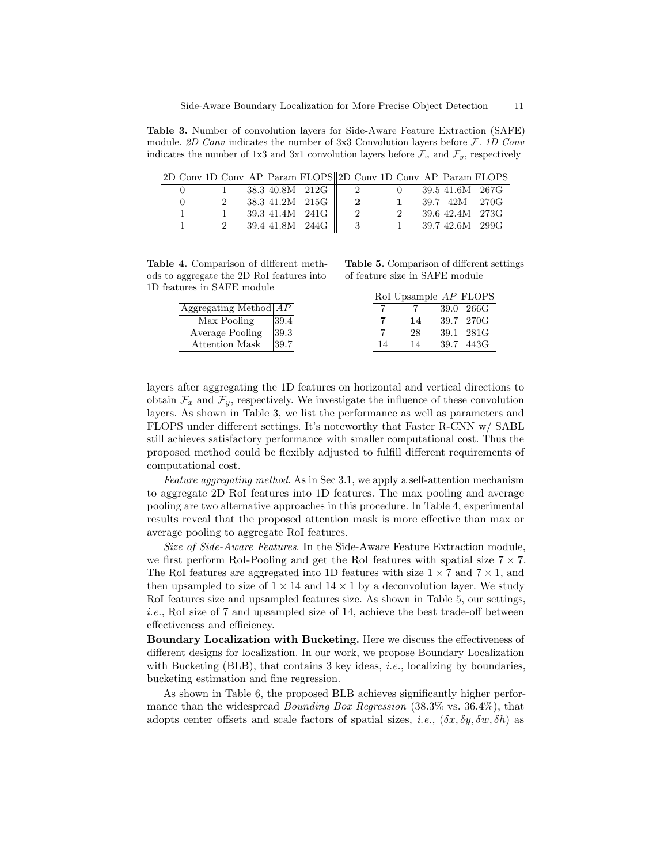Table 3. Number of convolution layers for Side-Aware Feature Extraction (SAFE) module. 2D Conv indicates the number of 3x3 Convolution layers before  $F$ . 1D Conv indicates the number of 1x3 and 3x1 convolution layers before  $\mathcal{F}_x$  and  $\mathcal{F}_y$ , respectively

|          |               |              |  | 2D Conv 1D Conv AP Param FLOPS 2D Conv 1D Conv AP Param FLOPS |                |              |                   |               |
|----------|---------------|--------------|--|---------------------------------------------------------------|----------------|--------------|-------------------|---------------|
|          |               |              |  | $38.3 \; 40.8M \; 212G \parallel 2$ 0 39.5 41.6M 267G         |                |              |                   |               |
| $\theta$ | $2^{\circ}$   |              |  | 38.3 41.2M 215G $\parallel$ 2                                 |                | $\mathbf{1}$ |                   | 39.7 42M 270G |
|          |               | $\mathbf{1}$ |  | 39.3 41.4M 241G                                               | $\overline{2}$ | 2            | 39.6 42.4M 273G   |               |
|          | $\mathcal{D}$ |              |  | 39.4 41.8M 244G $\parallel$ 3                                 |                |              | 1 39.7 42.6M 299G |               |

Table 4. Comparison of different methods to aggregate the 2D RoI features into 1D features in SAFE module

Table 5. Comparison of different settings of feature size in SAFE module

 $R_{\rm B}$ 

|                         |      |    | ROL UPSample AP FLUPS |      |                 |
|-------------------------|------|----|-----------------------|------|-----------------|
| Aggregating Method $AP$ |      |    |                       |      | $ 39.0 \t266$ G |
| Max Pooling             | 39.4 |    | 14                    |      | $ 39.7 \t270G $ |
| Average Pooling         | 39.3 |    | 28                    |      | 39.1 281G       |
| Attention Mask          | 39.7 | 14 | 14                    | 39.7 | 443G            |
|                         |      |    |                       |      |                 |

layers after aggregating the 1D features on horizontal and vertical directions to obtain  $\mathcal{F}_x$  and  $\mathcal{F}_y$ , respectively. We investigate the influence of these convolution layers. As shown in Table 3, we list the performance as well as parameters and FLOPS under different settings. It's noteworthy that Faster R-CNN w/ SABL still achieves satisfactory performance with smaller computational cost. Thus the proposed method could be flexibly adjusted to fulfill different requirements of computational cost.

Feature aggregating method. As in Sec 3.1, we apply a self-attention mechanism to aggregate 2D RoI features into 1D features. The max pooling and average pooling are two alternative approaches in this procedure. In Table 4, experimental results reveal that the proposed attention mask is more effective than max or average pooling to aggregate RoI features.

Size of Side-Aware Features. In the Side-Aware Feature Extraction module, we first perform RoI-Pooling and get the RoI features with spatial size  $7 \times 7$ . The RoI features are aggregated into 1D features with size  $1 \times 7$  and  $7 \times 1$ , and then upsampled to size of  $1 \times 14$  and  $14 \times 1$  by a deconvolution layer. We study RoI features size and upsampled features size. As shown in Table 5, our settings, i.e., RoI size of 7 and upsampled size of 14, achieve the best trade-off between effectiveness and efficiency.

Boundary Localization with Bucketing. Here we discuss the effectiveness of different designs for localization. In our work, we propose Boundary Localization with Bucketing (BLB), that contains 3 key ideas, *i.e.*, localizing by boundaries, bucketing estimation and fine regression.

As shown in Table 6, the proposed BLB achieves significantly higher performance than the widespread Bounding Box Regression (38.3% vs. 36.4%), that adopts center offsets and scale factors of spatial sizes, i.e.,  $(\delta x, \delta y, \delta w, \delta h)$  as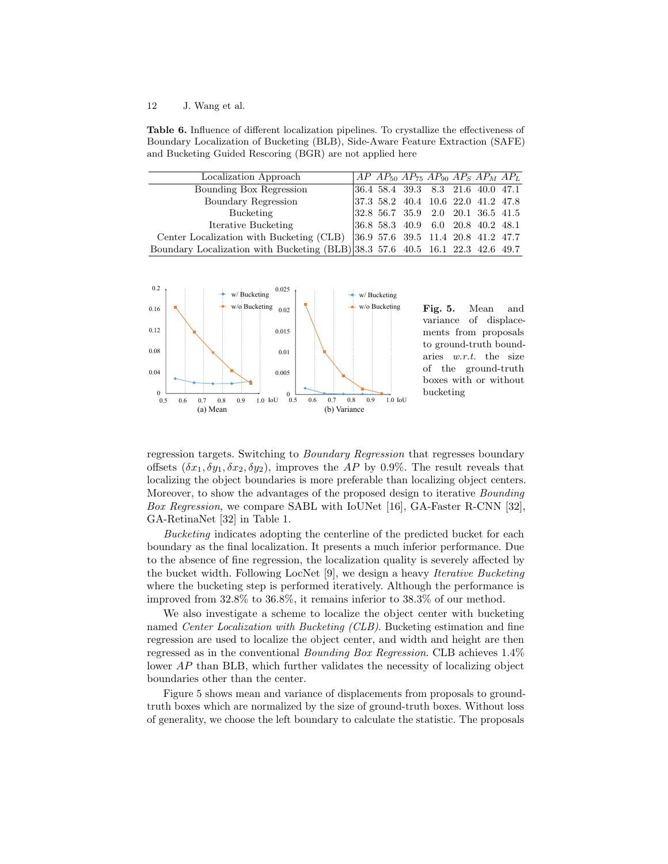Table 6. Influence of different localization pipelines. To crystallize the effectiveness of Boundary Localization of Bucketing (BLB), Side-Aware Feature Extraction (SAFE) and Bucketing Guided Rescoring (BGR) are not applied here

| Localization Approach                                                                | $AP$ $AP_{50}$ $AP_{75}$ $AP_{90}$ $AP_S$ $AP_M$ $AP_L$ |  |  |  |
|--------------------------------------------------------------------------------------|---------------------------------------------------------|--|--|--|
| Bounding Box Regression                                                              | $ 36.4 \t58.4 \t39.3 \t8.3 \t21.6 \t40.0 \t47.1$        |  |  |  |
| Boundary Regression                                                                  | $ 37.3 \t58.2 \t40.4 \t10.6 \t22.0 \t41.2 \t47.8$       |  |  |  |
| Bucketing                                                                            | $ 32.8\ \ 56.7\ \ 35.9\ \ 2.0\ \ 20.1\ \ 36.5\ \ 41.5$  |  |  |  |
| Iterative Bucketing                                                                  | $ 36.8 \t58.3 \t40.9 \t6.0 \t20.8 \t40.2 \t48.1$        |  |  |  |
| Center Localization with Bucketing (CLB) $ 36.9\,57.6\,39.5\,11.4\,20.8\,41.2\,47.7$ |                                                         |  |  |  |
| Boundary Localization with Bucketing (BLB) 38.3 57.6 40.5 16.1 22.3 42.6 49.7        |                                                         |  |  |  |



Fig. 5. Mean and variance of displacements from proposals to ground-truth boundaries w.r.t. the size of the ground-truth boxes with or without bucketing

regression targets. Switching to Boundary Regression that regresses boundary offsets  $(\delta x_1, \delta y_1, \delta x_2, \delta y_2)$ , improves the AP by 0.9%. The result reveals that localizing the object boundaries is more preferable than localizing object centers. Moreover, to show the advantages of the proposed design to iterative Bounding Box Regression, we compare SABL with IoUNet [16], GA-Faster R-CNN [32], GA-RetinaNet [32] in Table 1.

Bucketing indicates adopting the centerline of the predicted bucket for each boundary as the final localization. It presents a much inferior performance. Due to the absence of fine regression, the localization quality is severely affected by the bucket width. Following LocNet [9], we design a heavy Iterative Bucketing where the bucketing step is performed iteratively. Although the performance is improved from 32.8% to 36.8%, it remains inferior to 38.3% of our method.

We also investigate a scheme to localize the object center with bucketing named Center Localization with Bucketing (CLB). Bucketing estimation and fine regression are used to localize the object center, and width and height are then regressed as in the conventional Bounding Box Regression. CLB achieves 1.4% lower AP than BLB, which further validates the necessity of localizing object boundaries other than the center.

Figure 5 shows mean and variance of displacements from proposals to groundtruth boxes which are normalized by the size of ground-truth boxes. Without loss of generality, we choose the left boundary to calculate the statistic. The proposals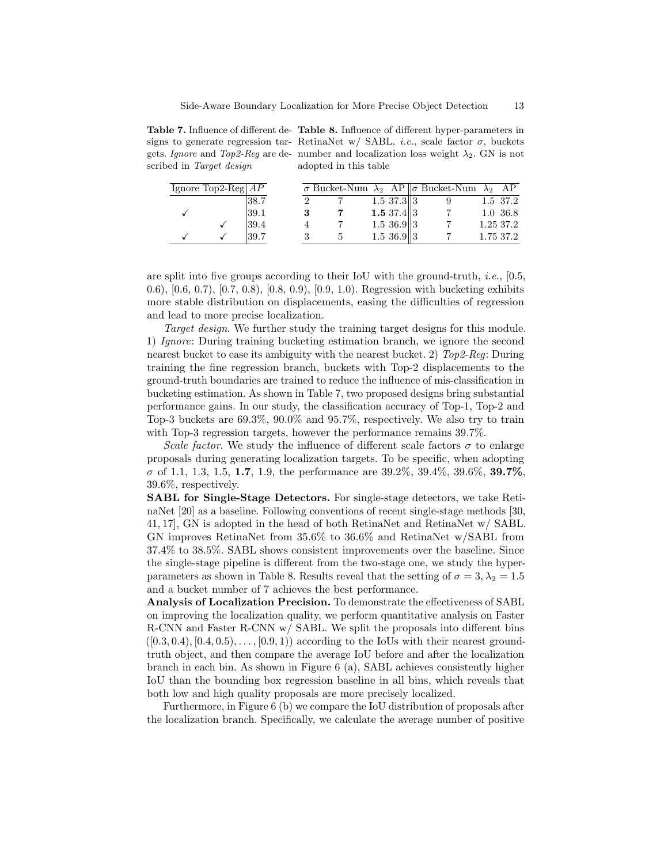Table 7. Influence of different de-Table 8. Influence of different hyper-parameters in signs to generate regression tar- RetinaNet w/ SABL, *i.e.*, scale factor  $\sigma$ , buckets gets. Ignore and Top2-Reg are de- number and localization loss weight  $\lambda_2$ . GN is not scribed in Target design adopted in this table

| Ignore Top2-Reg $AP$ |      |  |                      | $\sigma$ Bucket-Num $\lambda_2$ AP $\ \sigma$ Bucket-Num $\lambda_2$ AP |           |
|----------------------|------|--|----------------------|-------------------------------------------------------------------------|-----------|
|                      | 38.7 |  | $1.5 \frac{37.3}{3}$ |                                                                         | 1.5 37.2  |
|                      | 39.1 |  | 1.5 $37.4  3$        |                                                                         | 1.0 36.8  |
|                      | 39.4 |  | $1.5 \; 36.9$ 3      |                                                                         | 1.25 37.2 |
|                      | 39.7 |  | $1.5 \, 36.9$   3    |                                                                         | 1.75 37.2 |

are split into five groups according to their IoU with the ground-truth, *i.e.*,  $[0.5$ , 0.6), [0.6, 0.7), [0.7, 0.8), [0.8, 0.9), [0.9, 1.0). Regression with bucketing exhibits more stable distribution on displacements, easing the difficulties of regression and lead to more precise localization.

Target design. We further study the training target designs for this module. 1) Ignore: During training bucketing estimation branch, we ignore the second nearest bucket to ease its ambiguity with the nearest bucket. 2) Top2-Reg: During training the fine regression branch, buckets with Top-2 displacements to the ground-truth boundaries are trained to reduce the influence of mis-classification in bucketing estimation. As shown in Table 7, two proposed designs bring substantial performance gains. In our study, the classification accuracy of Top-1, Top-2 and Top-3 buckets are 69.3%, 90.0% and 95.7%, respectively. We also try to train with Top-3 regression targets, however the performance remains 39.7%.

Scale factor. We study the influence of different scale factors  $\sigma$  to enlarge proposals during generating localization targets. To be specific, when adopting  $\sigma$  of 1.1, 1.3, 1.5, 1.7, 1.9, the performance are 39.2%, 39.4%, 39.6%, 39.7%, 39.6%, respectively.

SABL for Single-Stage Detectors. For single-stage detectors, we take RetinaNet [20] as a baseline. Following conventions of recent single-stage methods [30, 41, 17], GN is adopted in the head of both RetinaNet and RetinaNet w/ SABL. GN improves RetinaNet from 35.6% to 36.6% and RetinaNet w/SABL from 37.4% to 38.5%. SABL shows consistent improvements over the baseline. Since the single-stage pipeline is different from the two-stage one, we study the hyperparameters as shown in Table 8. Results reveal that the setting of  $\sigma = 3, \lambda_2 = 1.5$ and a bucket number of 7 achieves the best performance.

Analysis of Localization Precision. To demonstrate the effectiveness of SABL on improving the localization quality, we perform quantitative analysis on Faster R-CNN and Faster R-CNN w/ SABL. We split the proposals into different bins  $([0.3, 0.4), [0.4, 0.5), \ldots, [0.9, 1)$  according to the IoUs with their nearest groundtruth object, and then compare the average IoU before and after the localization branch in each bin. As shown in Figure 6 (a), SABL achieves consistently higher IoU than the bounding box regression baseline in all bins, which reveals that both low and high quality proposals are more precisely localized.

Furthermore, in Figure 6 (b) we compare the IoU distribution of proposals after the localization branch. Specifically, we calculate the average number of positive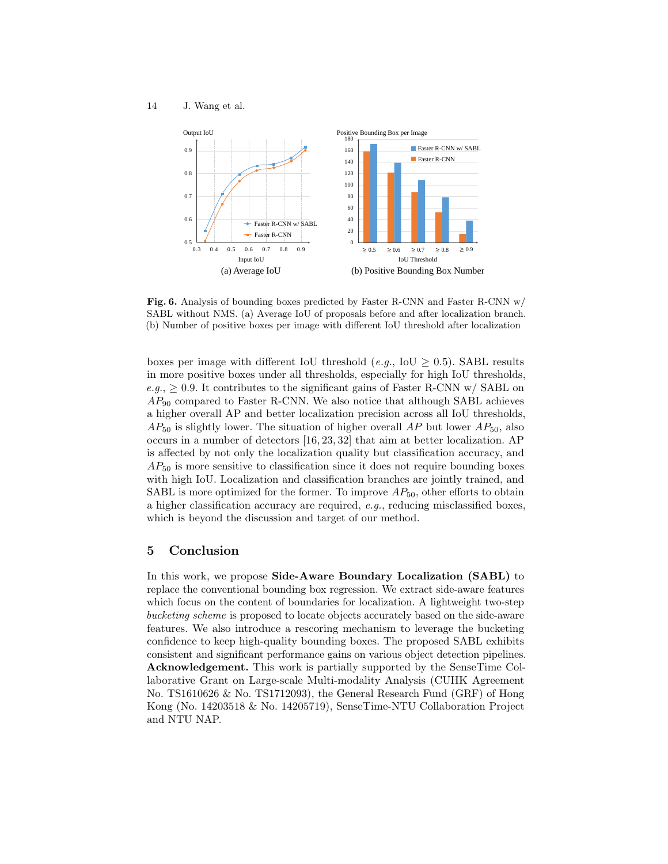

Fig. 6. Analysis of bounding boxes predicted by Faster R-CNN and Faster R-CNN w/ SABL without NMS. (a) Average IoU of proposals before and after localization branch. (b) Number of positive boxes per image with different IoU threshold after localization

boxes per image with different IoU threshold (e.g., IoU  $\geq$  0.5). SABL results in more positive boxes under all thresholds, especially for high IoU thresholds, e.g.,  $\geq 0.9$ . It contributes to the significant gains of Faster R-CNN w/ SABL on  $AP_{90}$  compared to Faster R-CNN. We also notice that although SABL achieves a higher overall AP and better localization precision across all IoU thresholds,  $AP_{50}$  is slightly lower. The situation of higher overall AP but lower  $AP_{50}$ , also occurs in a number of detectors [16, 23, 32] that aim at better localization. AP is affected by not only the localization quality but classification accuracy, and  $AP_{50}$  is more sensitive to classification since it does not require bounding boxes with high IoU. Localization and classification branches are jointly trained, and SABL is more optimized for the former. To improve  $AP_{50}$ , other efforts to obtain a higher classification accuracy are required, e.g., reducing misclassified boxes, which is beyond the discussion and target of our method.

# 5 Conclusion

In this work, we propose Side-Aware Boundary Localization (SABL) to replace the conventional bounding box regression. We extract side-aware features which focus on the content of boundaries for localization. A lightweight two-step bucketing scheme is proposed to locate objects accurately based on the side-aware features. We also introduce a rescoring mechanism to leverage the bucketing confidence to keep high-quality bounding boxes. The proposed SABL exhibits consistent and significant performance gains on various object detection pipelines. Acknowledgement. This work is partially supported by the SenseTime Collaborative Grant on Large-scale Multi-modality Analysis (CUHK Agreement No. TS1610626 & No. TS1712093), the General Research Fund (GRF) of Hong Kong (No. 14203518 & No. 14205719), SenseTime-NTU Collaboration Project and NTU NAP.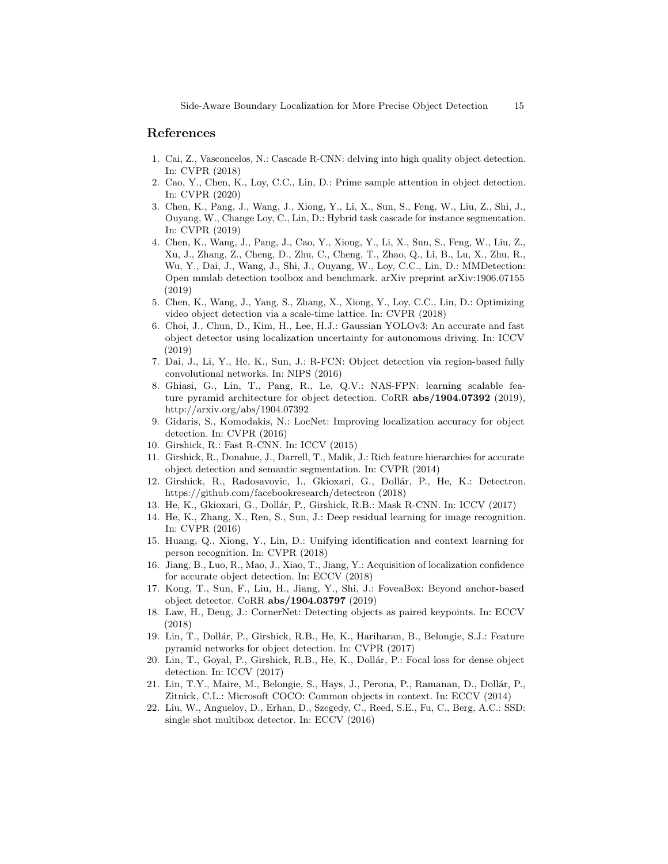# References

- 1. Cai, Z., Vasconcelos, N.: Cascade R-CNN: delving into high quality object detection. In: CVPR (2018)
- 2. Cao, Y., Chen, K., Loy, C.C., Lin, D.: Prime sample attention in object detection. In: CVPR (2020)
- 3. Chen, K., Pang, J., Wang, J., Xiong, Y., Li, X., Sun, S., Feng, W., Liu, Z., Shi, J., Ouyang, W., Change Loy, C., Lin, D.: Hybrid task cascade for instance segmentation. In: CVPR (2019)
- 4. Chen, K., Wang, J., Pang, J., Cao, Y., Xiong, Y., Li, X., Sun, S., Feng, W., Liu, Z., Xu, J., Zhang, Z., Cheng, D., Zhu, C., Cheng, T., Zhao, Q., Li, B., Lu, X., Zhu, R., Wu, Y., Dai, J., Wang, J., Shi, J., Ouyang, W., Loy, C.C., Lin, D.: MMDetection: Open mmlab detection toolbox and benchmark. arXiv preprint arXiv:1906.07155 (2019)
- 5. Chen, K., Wang, J., Yang, S., Zhang, X., Xiong, Y., Loy, C.C., Lin, D.: Optimizing video object detection via a scale-time lattice. In: CVPR (2018)
- 6. Choi, J., Chun, D., Kim, H., Lee, H.J.: Gaussian YOLOv3: An accurate and fast object detector using localization uncertainty for autonomous driving. In: ICCV (2019)
- 7. Dai, J., Li, Y., He, K., Sun, J.: R-FCN: Object detection via region-based fully convolutional networks. In: NIPS (2016)
- 8. Ghiasi, G., Lin, T., Pang, R., Le, Q.V.: NAS-FPN: learning scalable feature pyramid architecture for object detection. CoRR abs/1904.07392 (2019), http://arxiv.org/abs/1904.07392
- 9. Gidaris, S., Komodakis, N.: LocNet: Improving localization accuracy for object detection. In: CVPR (2016)
- 10. Girshick, R.: Fast R-CNN. In: ICCV (2015)
- 11. Girshick, R., Donahue, J., Darrell, T., Malik, J.: Rich feature hierarchies for accurate object detection and semantic segmentation. In: CVPR (2014)
- 12. Girshick, R., Radosavovic, I., Gkioxari, G., Dollár, P., He, K.: Detectron. https://github.com/facebookresearch/detectron (2018)
- 13. He, K., Gkioxari, G., Dollár, P., Girshick, R.B.: Mask R-CNN. In: ICCV (2017)
- 14. He, K., Zhang, X., Ren, S., Sun, J.: Deep residual learning for image recognition. In: CVPR (2016)
- 15. Huang, Q., Xiong, Y., Lin, D.: Unifying identification and context learning for person recognition. In: CVPR (2018)
- 16. Jiang, B., Luo, R., Mao, J., Xiao, T., Jiang, Y.: Acquisition of localization confidence for accurate object detection. In: ECCV (2018)
- 17. Kong, T., Sun, F., Liu, H., Jiang, Y., Shi, J.: FoveaBox: Beyond anchor-based object detector. CoRR abs/1904.03797 (2019)
- 18. Law, H., Deng, J.: CornerNet: Detecting objects as paired keypoints. In: ECCV (2018)
- 19. Lin, T., Dollár, P., Girshick, R.B., He, K., Hariharan, B., Belongie, S.J.: Feature pyramid networks for object detection. In: CVPR (2017)
- 20. Lin, T., Goyal, P., Girshick, R.B., He, K., Dollár, P.: Focal loss for dense object detection. In: ICCV (2017)
- 21. Lin, T.Y., Maire, M., Belongie, S., Hays, J., Perona, P., Ramanan, D., Dollár, P., Zitnick, C.L.: Microsoft COCO: Common objects in context. In: ECCV (2014)
- 22. Liu, W., Anguelov, D., Erhan, D., Szegedy, C., Reed, S.E., Fu, C., Berg, A.C.: SSD: single shot multibox detector. In: ECCV (2016)